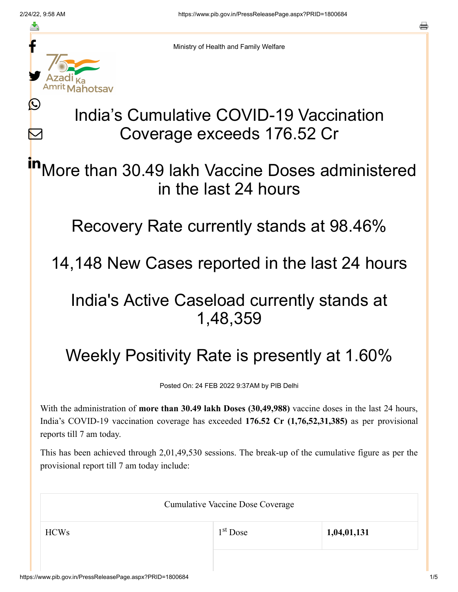≛

Ŀ

 $\bm{\nabla}$ 



Ministry of Health and Family Welfare

# India's Cumulative COVID-19 Vaccination Coverage exceeds 176.52 Cr

More than 30.49 lakh Vaccine Doses administered in the last 24 hours in

Recovery Rate currently stands at 98.46%

14,148 New Cases reported in the last 24 hours

## India's Active Caseload currently stands at 1,48,359

# Weekly Positivity Rate is presently at 1.60%

Posted On: 24 FEB 2022 9:37AM by PIB Delhi

With the administration of **more than 30.49 lakh Doses (30,49,988)** vaccine doses in the last 24 hours, India's COVID-19 vaccination coverage has exceeded **176.52 Cr (1,76,52,31,385)** as per provisional reports till 7 am today.

This has been achieved through 2,01,49,530 sessions. The break-up of the cumulative figure as per the provisional report till 7 am today include:

| <b>Cumulative Vaccine Dose Coverage</b> |            |             |
|-----------------------------------------|------------|-------------|
| <b>HCWs</b>                             | $1st$ Dose | 1,04,01,131 |
|                                         |            |             |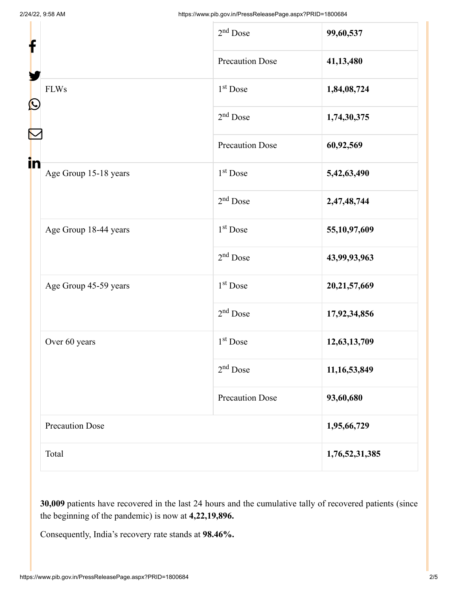| f                                                                                              |                        | $2nd$ Dose             | 99,60,537      |
|------------------------------------------------------------------------------------------------|------------------------|------------------------|----------------|
|                                                                                                |                        | <b>Precaution Dose</b> | 41,13,480      |
| $\mathbf{\Omega}$                                                                              | <b>FLWs</b>            | $1st$ Dose             | 1,84,08,724    |
|                                                                                                |                        | $2nd$ Dose             | 1,74,30,375    |
|                                                                                                |                        | <b>Precaution Dose</b> | 60,92,569      |
| in<br>Age Group 15-18 years<br>Age Group 18-44 years<br>Age Group 45-59 years<br>Over 60 years |                        | 1 <sup>st</sup> Dose   | 5,42,63,490    |
|                                                                                                |                        | $2nd$ Dose             | 2,47,48,744    |
|                                                                                                |                        | 1 <sup>st</sup> Dose   | 55,10,97,609   |
|                                                                                                |                        | $2nd$ Dose             | 43,99,93,963   |
|                                                                                                |                        | 1 <sup>st</sup> Dose   | 20,21,57,669   |
|                                                                                                |                        | $2nd$ Dose             | 17,92,34,856   |
|                                                                                                |                        | $1st$ Dose             | 12,63,13,709   |
|                                                                                                | $2nd$ Dose             | 11,16,53,849           |                |
|                                                                                                |                        | <b>Precaution Dose</b> | 93,60,680      |
|                                                                                                | <b>Precaution Dose</b> |                        | 1,95,66,729    |
|                                                                                                | Total                  |                        | 1,76,52,31,385 |

**30,009** patients have recovered in the last 24 hours and the cumulative tally of recovered patients (since the beginning of the pandemic) is now at **4,22,19,896.**

Consequently, India's recovery rate stands at **98.46%.**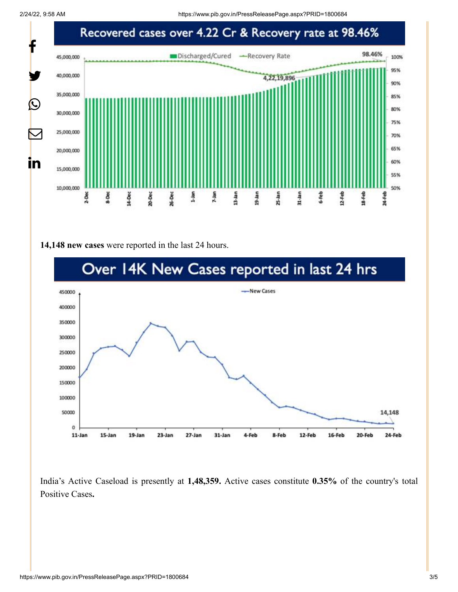2/24/22, 9:58 AM https://www.pib.gov.in/PressReleasePage.aspx?PRID=1800684



#### **14,148 new cases** were reported in the last 24 hours.



India's Active Caseload is presently at **1,48,359.** Active cases constitute **0.35%** of the country's total Positive Cases**.**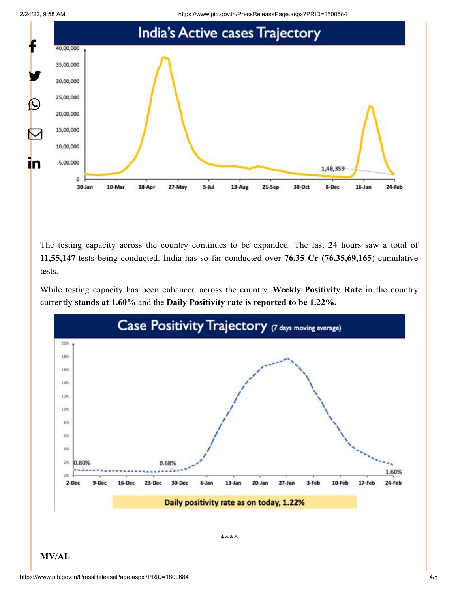2/24/22, 9:58 AM https://www.pib.gov.in/PressReleasePage.aspx?PRID=1800684



The testing capacity across the country continues to be expanded. The last 24 hours saw a total of **11,55,147** tests being conducted. India has so far conducted over **76.35 Cr (76,35,69,165**) cumulative tests.

While testing capacity has been enhanced across the country, **Weekly Positivity Rate** in the country currently **stands at 1.60%** and the **Daily Positivity rate is reported to be 1.22%.**



#### **MV/AL**